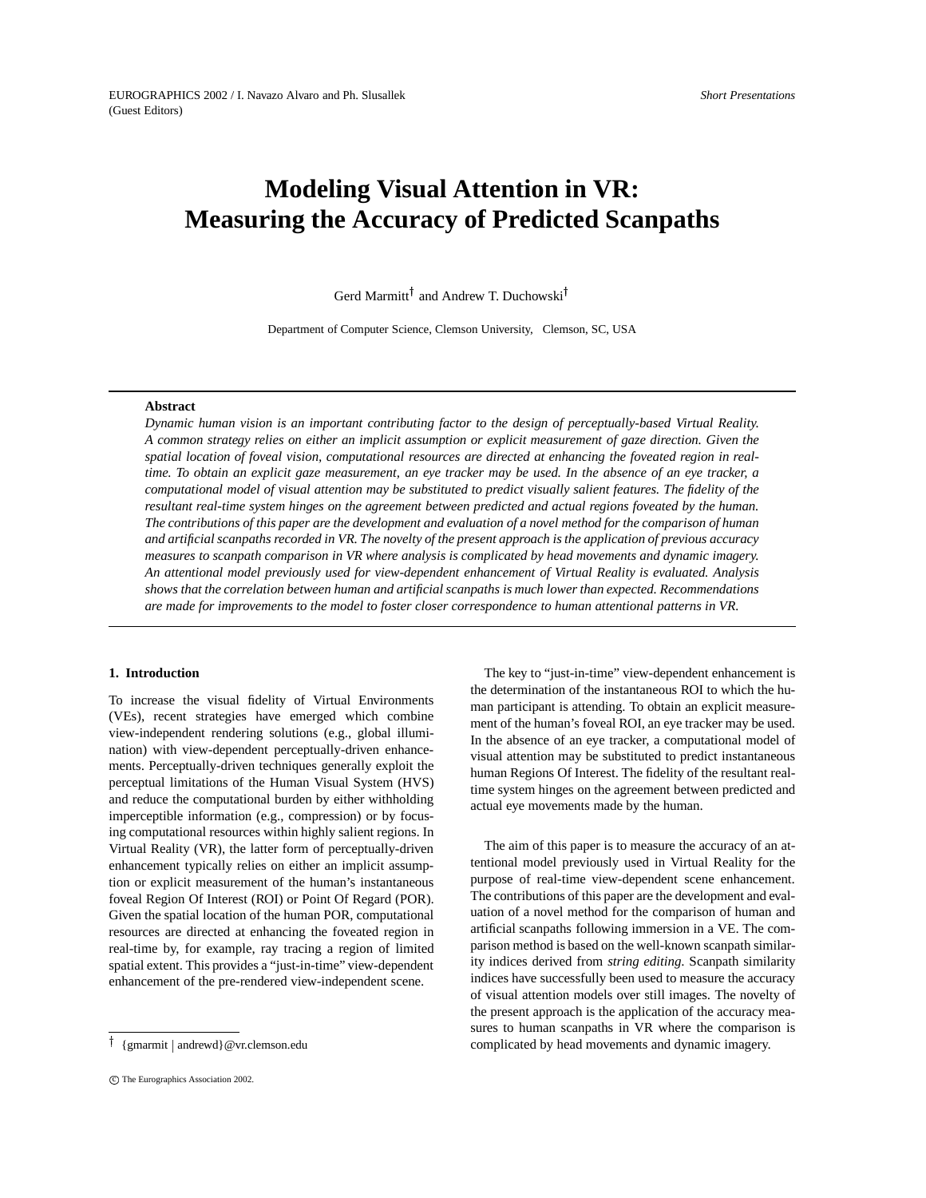*Short Presentations*

# **Modeling Visual Attention in VR: Measuring the Accuracy of Predicted Scanpaths**

Gerd Marmitt<sup>†</sup> and Andrew T. Duchowski<sup>†</sup>

Department of Computer Science, Clemson University, Clemson, SC, USA

# **Abstract**

*Dynamic human vision is an important contributing factor to the design of perceptually-based Virtual Reality.* A common strategy relies on either an implicit assumption or explicit measurement of gaze direction. Given the spatial location of foveal vision, computational resources are directed at enhancing the foveated region in realtime. To obtain an explicit gaze measurement, an eye tracker may be used. In the absence of an eye tracker, a computational model of visual attention may be substituted to predict visually salient features. The fidelity of the *resultant real-time system hinges on the agreement between predicted and actual regions foveated by the human.* The contributions of this paper are the development and evaluation of a novel method for the comparison of human and artificial scanpaths recorded in VR. The novelty of the present approach is the application of previous accuracy *measures to scanpath comparison in VR where analysis is complicated by head movements and dynamic imagery. An attentional model previously used for view-dependent enhancement of Virtual Reality is evaluated. Analysis shows that the correlation between human and artificial scanpaths is much lower than expected. Recommendations* are made for improvements to the model to foster closer correspondence to human attentional patterns in VR.

# **1. Introduction**

To increase the visual fidelity of Virtual Environments (VEs), recent strategies have emerged which combine view-independent rendering solutions (e.g., global illumination) with view-dependent perceptually-driven enhancements. Perceptually-driven techniques generally exploit the perceptual limitations of the Human Visual System (HVS) and reduce the computational burden by either withholding imperceptible information (e.g., compression) or by focusing computational resources within highly salient regions. In Virtual Reality (VR), the latter form of perceptually-driven enhancement typically relies on either an implicit assumption or explicit measurement of the human's instantaneous foveal Region Of Interest (ROI) or Point Of Regard (POR). Given the spatial location of the human POR, computational resources are directed at enhancing the foveated region in real-time by, for example, ray tracing a region of limited spatial extent. This provides a "just-in-time" view-dependent enhancement of the pre-rendered view-independent scene.

The key to "just-in-time" view-dependent enhancement is the determination of the instantaneous ROI to which the human participant is attending. To obtain an explicit measurement of the human's foveal ROI, an eye tracker may be used. In the absence of an eye tracker, a computational model of visual attention may be substituted to predict instantaneous human Regions Of Interest. The fidelity of the resultant realtime system hinges on the agreement between predicted and actual eye movements made by the human.

The aim of this paper is to measure the accuracy of an attentional model previously used in Virtual Reality for the purpose of real-time view-dependent scene enhancement. The contributions of this paper are the development and evaluation of a novel method for the comparison of human and artificial scanpaths following immersion in a VE. The comparison method is based on the well-known scanpath similarity indices derived from *string editing*. Scanpath similarity indices have successfully been used to measure the accuracy of visual attention models over still images. The novelty of the present approach is the application of the accuracy measures to human scanpaths in VR where the comparison is complicated by head movements and dynamic imagery.

<sup>&</sup>lt;sup>†</sup> {gmarmit | andrewd}@vr.clemson.edu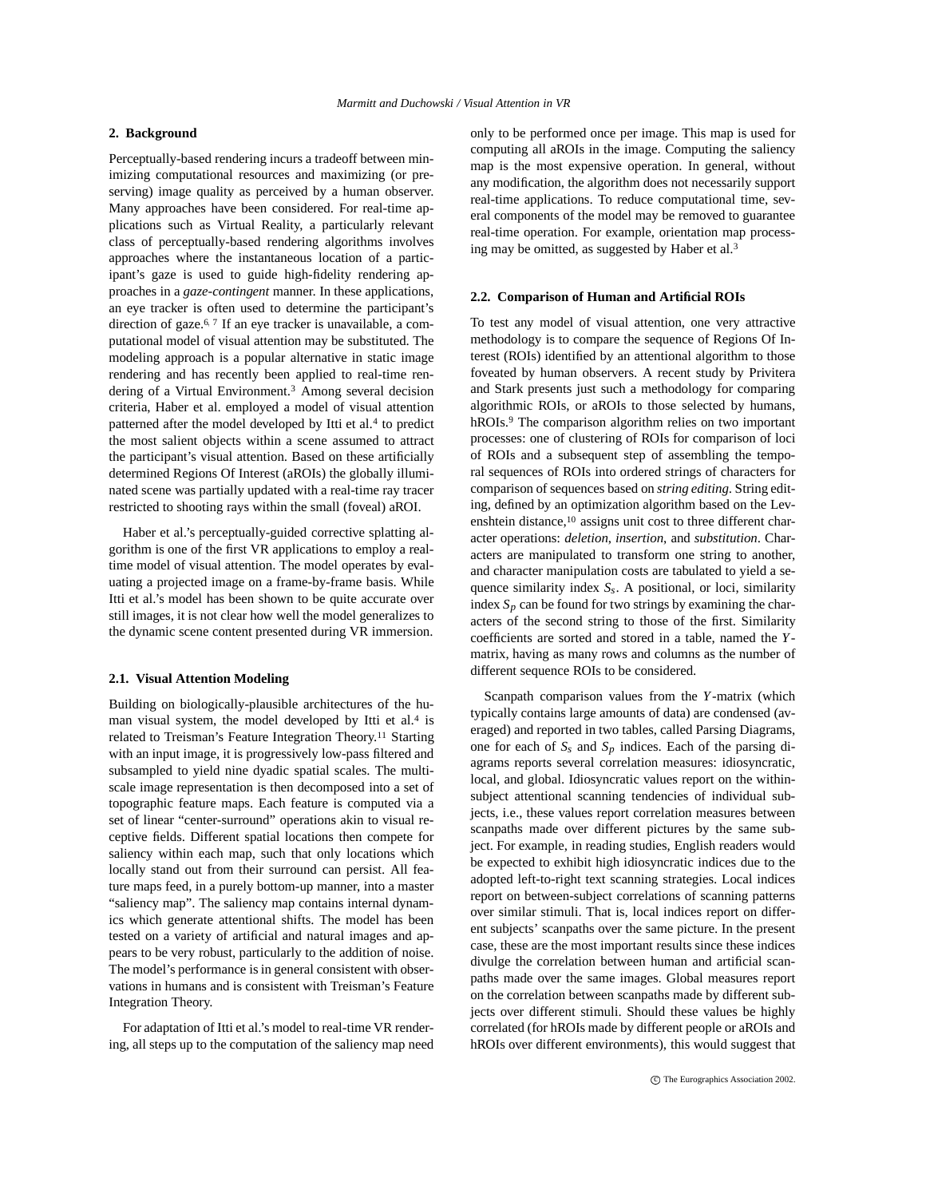# **2. Background**

Perceptually-based rendering incurs a tradeoff between minimizing computational resources and maximizing (or preserving) image quality as perceived by a human observer. Many approaches have been considered. For real-time applications such as Virtual Reality, a particularly relevant class of perceptually-based rendering algorithms involves approaches where the instantaneous location of a participant's gaze is used to guide high-fidelity rendering approaches in a *gaze-contingent* manner. In these applications, an eye tracker is often used to determine the participant's direction of gaze.<sup>6, 7</sup> If an eye tracker is unavailable, a computational model of visual attention may be substituted. The modeling approach is a popular alternative in static image rendering and has recently been applied to real-time rendering of a Virtual Environment.<sup>3</sup> Among several decision criteria, Haber et al. employed a model of visual attention patterned after the model developed by Itti et al.<sup>4</sup> to predict the most salient objects within a scene assumed to attract the participant's visual attention. Based on these artificially determined Regions Of Interest (aROIs) the globally illuminated scene was partially updated with a real-time ray tracer restricted to shooting rays within the small (foveal) aROI.

Haber et al.'s perceptually-guided corrective splatting algorithm is one of the first VR applications to employ a realtime model of visual attention. The model operates by evaluating a projected image on a frame-by-frame basis. While Itti et al.'s model has been shown to be quite accurate over still images, it is not clear how well the model generalizes to the dynamic scene content presented during VR immersion.

### **2.1. Visual Attention Modeling**

Building on biologically-plausible architectures of the human visual system, the model developed by Itti et al.<sup>4</sup> is related to Treisman's Feature Integration Theory.<sup>11</sup> Starting with an input image, it is progressively low-pass filtered and subsampled to yield nine dyadic spatial scales. The multiscale image representation is then decomposed into a set of topographic feature maps. Each feature is computed via a set of linear "center-surround" operations akin to visual receptive fields. Different spatial locations then compete for saliency within each map, such that only locations which locally stand out from their surround can persist. All feature maps feed, in a purely bottom-up manner, into a master "saliency map". The saliency map contains internal dynamics which generate attentional shifts. The model has been tested on a variety of artificial and natural images and appears to be very robust, particularly to the addition of noise. The model's performance is in general consistent with observations in humans and is consistent with Treisman's Feature Integration Theory.

For adaptation of Itti et al.'s model to real-time VR rendering, all steps up to the computation of the saliency map need only to be performed once per image. This map is used for computing all aROIs in the image. Computing the saliency map is the most expensive operation. In general, without any modification, the algorithm does not necessarily support real-time applications. To reduce computational time, several components of the model may be removed to guarantee real-time operation. For example, orientation map processing may be omitted, as suggested by Haber et al.<sup>3</sup>

#### **2.2. Comparison of Human and Artificial ROIs**

To test any model of visual attention, one very attractive methodology is to compare the sequence of Regions Of Interest (ROIs) identified by an attentional algorithm to those foveated by human observers. A recent study by Privitera and Stark presents just such a methodology for comparing algorithmic ROIs, or aROIs to those selected by humans, hROIs.<sup>9</sup> The comparison algorithm relies on two important processes: one of clustering of ROIs for comparison of loci of ROIs and a subsequent step of assembling the temporal sequences of ROIs into ordered strings of characters for comparison of sequences based on *string editing*. String editing, defined by an optimization algorithm based on the Levenshtein distance,<sup>10</sup> assigns unit cost to three different character operations: *deletion*, *insertion*, and *substitution*. Characters are manipulated to transform one string to another, and character manipulation costs are tabulated to yield a sequence similarity index *Ss*. A positional, or loci, similarity index  $S_p$  can be found for two strings by examining the characters of the second string to those of the first. Similarity coefficients are sorted and stored in a table, named the *Y*matrix, having as many rows and columns as the number of different sequence ROIs to be considered.

Scanpath comparison values from the *Y*-matrix (which typically contains large amounts of data) are condensed (averaged) and reported in two tables, called Parsing Diagrams, one for each of  $S_s$  and  $S_p$  indices. Each of the parsing diagrams reports several correlation measures: idiosyncratic, local, and global. Idiosyncratic values report on the withinsubject attentional scanning tendencies of individual subjects, i.e., these values report correlation measures between scanpaths made over different pictures by the same subject. For example, in reading studies, English readers would be expected to exhibit high idiosyncratic indices due to the adopted left-to-right text scanning strategies. Local indices report on between-subject correlations of scanning patterns over similar stimuli. That is, local indices report on different subjects' scanpaths over the same picture. In the present case, these are the most important results since these indices divulge the correlation between human and artificial scanpaths made over the same images. Global measures report on the correlation between scanpaths made by different subjects over different stimuli. Should these values be highly correlated (for hROIs made by different people or aROIs and hROIs over different environments), this would suggest that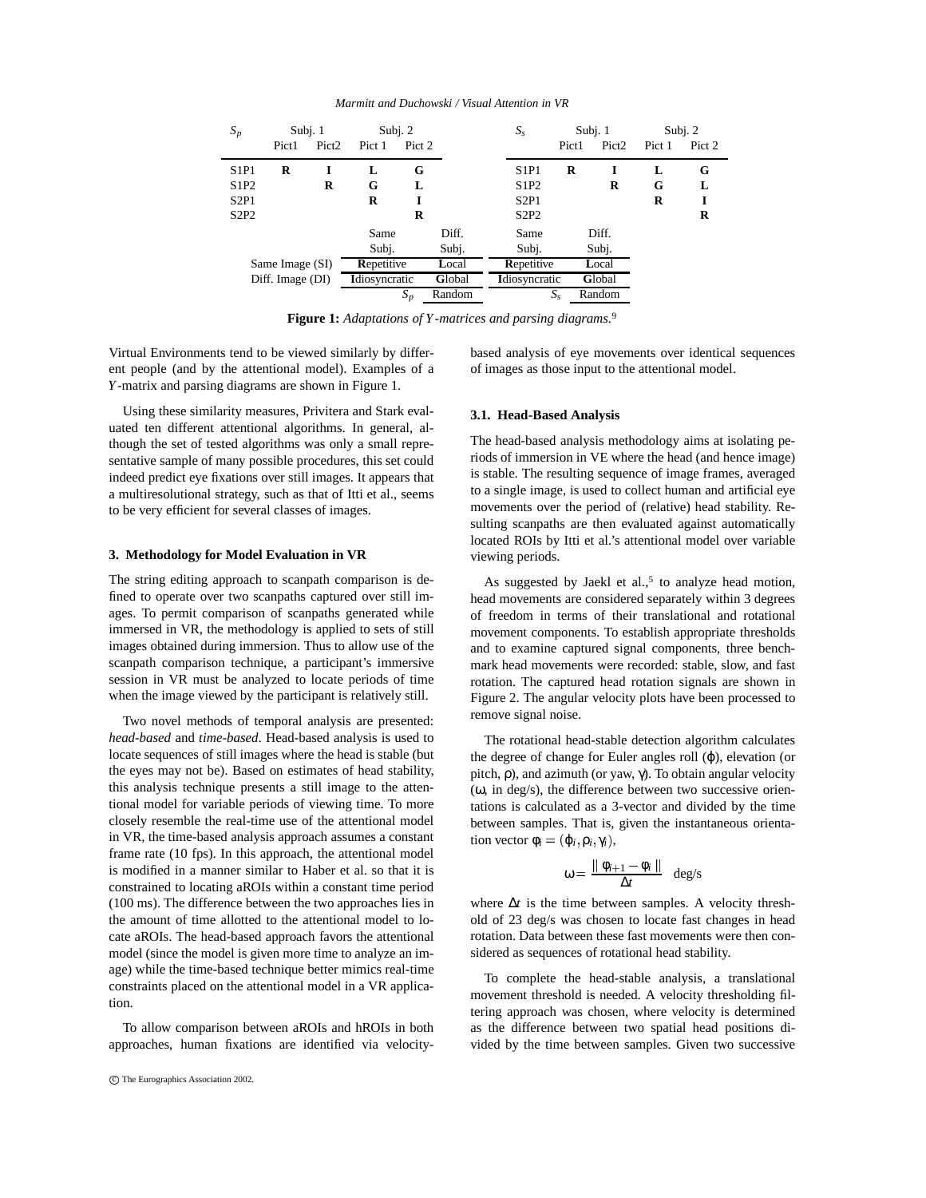| $S_p$           |                  | Subj. 1           | Subj. $2$     |        |        | $S_{\rm s}$   |        | Subj. 1           | Subj. $2$ |        |
|-----------------|------------------|-------------------|---------------|--------|--------|---------------|--------|-------------------|-----------|--------|
|                 | Pict1            | Pict <sub>2</sub> | Pict 1        | Pict 2 |        |               | Pict1  | Pict <sub>2</sub> | Pict 1    | Pict 2 |
| S1P1            | R                |                   | L             | G      |        | S1P1          | R      | I                 | L         | G      |
| S1P2            |                  | R                 | G             | L      |        | S1P2          |        | R                 | G         | L      |
| S2P1            |                  |                   | R             |        |        | S2P1          |        |                   | R         | I      |
| S2P2            |                  |                   | R             |        |        | S2P2          |        |                   |           | R      |
|                 |                  |                   | Same          |        | Diff.  | Same          |        | Diff.             |           |        |
|                 |                  |                   | Subj.         |        | Subj.  | Subj.         |        | Subj.             |           |        |
| Same Image (SI) |                  |                   | Repetitive    |        | Local  | Repetitive    |        | Local             |           |        |
|                 | Diff. Image (DI) |                   | Idiosyncratic |        | Global | Idiosyncratic |        | Global            |           |        |
|                 |                  |                   | $S_p$         | Random |        | $S_{s}$       | Random |                   |           |        |

*Marmitt and Duchowski / Visual Attention in VR*

**Figure 1:** *Adaptations of Y-matrices and parsing diagrams.*<sup>9</sup>

Virtual Environments tend to be viewed similarly by different people (and by the attentional model). Examples of a *Y*-matrix and parsing diagrams are shown in Figure 1.

Using these similarity measures, Privitera and Stark evaluated ten different attentional algorithms. In general, although the set of tested algorithms was only a small representative sample of many possible procedures, this set could indeed predict eye fixations over still images. It appears that a multiresolutional strategy, such as that of Itti et al., seems to be very efficient for several classes of images.

#### **3. Methodology for Model Evaluation in VR**

The string editing approach to scanpath comparison is defined to operate over two scanpaths captured over still images. To permit comparison of scanpaths generated while immersed in VR, the methodology is applied to sets of still images obtained during immersion. Thus to allow use of the scanpath comparison technique, a participant's immersive session in VR must be analyzed to locate periods of time when the image viewed by the participant is relatively still.

Two novel methods of temporal analysis are presented: *head-based* and *time-based*. Head-based analysis is used to locate sequences of still images where the head is stable (but the eyes may not be). Based on estimates of head stability, this analysis technique presents a still image to the attentional model for variable periods of viewing time. To more closely resemble the real-time use of the attentional model in VR, the time-based analysis approach assumes a constant frame rate (10 fps). In this approach, the attentional model is modified in a manner similar to Haber et al. so that it is constrained to locating aROIs within a constant time period (100 ms). The difference between the two approaches lies in the amount of time allotted to the attentional model to locate aROIs. The head-based approach favors the attentional model (since the model is given more time to analyze an image) while the time-based technique better mimics real-time constraints placed on the attentional model in a VR application.

To allow comparison between aROIs and hROIs in both approaches, human fixations are identified via velocitybased analysis of eye movements over identical sequences of images as those input to the attentional model.

# **3.1. Head-Based Analysis**

The head-based analysis methodology aims at isolating periods of immersion in VE where the head (and hence image) is stable. The resulting sequence of image frames, averaged to a single image, is used to collect human and artificial eye movements over the period of (relative) head stability. Resulting scanpaths are then evaluated against automatically located ROIs by Itti et al.'s attentional model over variable viewing periods.

As suggested by Jaekl et al., $5$  to analyze head motion, head movements are considered separately within 3 degrees of freedom in terms of their translational and rotational movement components. To establish appropriate thresholds and to examine captured signal components, three benchmark head movements were recorded: stable, slow, and fast rotation. The captured head rotation signals are shown in Figure 2. The angular velocity plots have been processed to remove signal noise.

The rotational head-stable detection algorithm calculates the degree of change for Euler angles roll (ϕ), elevation (or pitch,  $\rho$ ), and azimuth (or yaw,  $\gamma$ ). To obtain angular velocity (ω, in deg/s), the difference between two successive orientations is calculated as a 3-vector and divided by the time between samples. That is, given the instantaneous orientation vector  $\phi_i = (\phi_i, \rho_i, \gamma_i)$ ,

$$
\omega = \frac{\parallel \phi_{i+1} - \phi_i \parallel}{\Delta t} \quad \text{deg/s}
$$

where ∆*t* is the time between samples. A velocity threshold of 23 deg/s was chosen to locate fast changes in head rotation. Data between these fast movements were then considered as sequences of rotational head stability.

To complete the head-stable analysis, a translational movement threshold is needed. A velocity thresholding filtering approach was chosen, where velocity is determined as the difference between two spatial head positions divided by the time between samples. Given two successive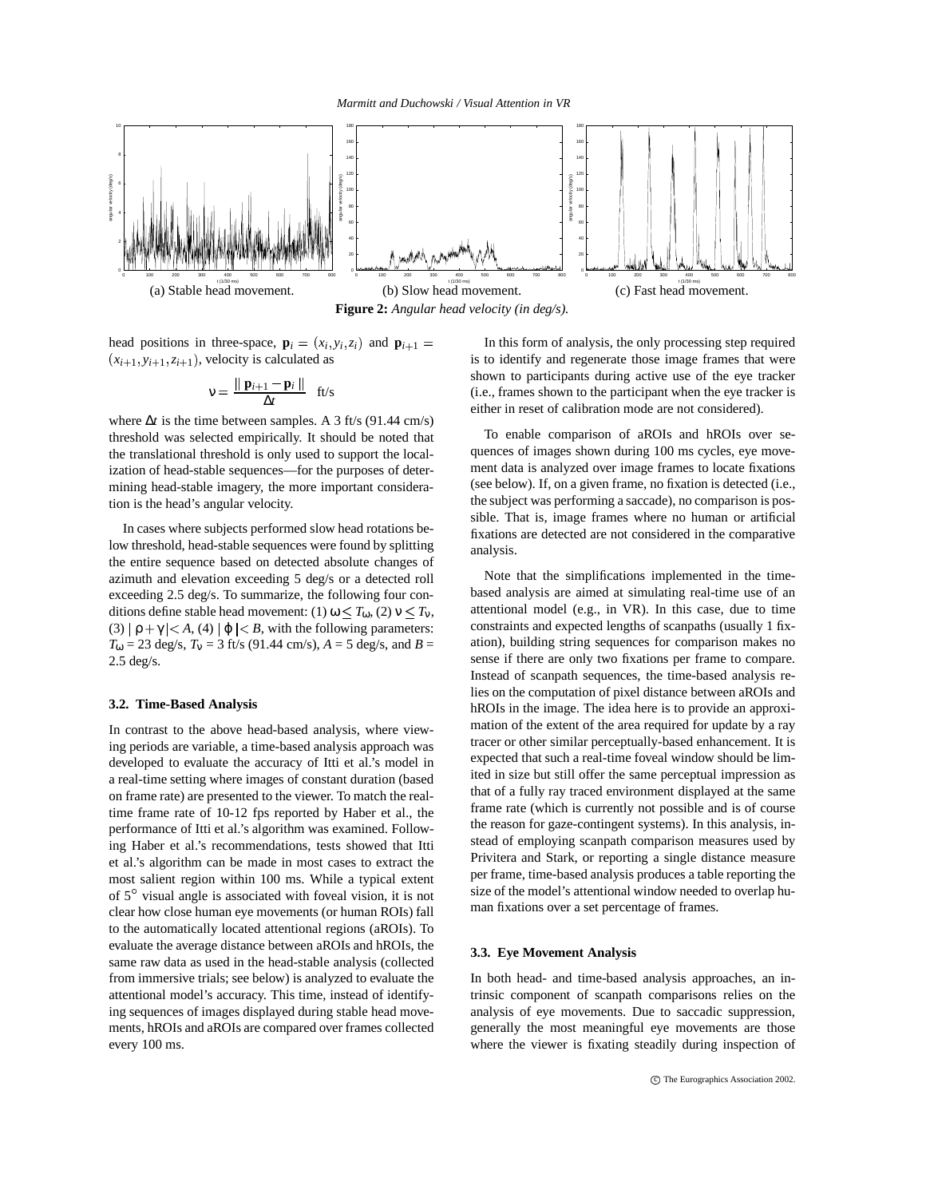

**Figure 2:** *Angular head velocity (in deg/s).*

head positions in three-space,  $\mathbf{p}_i = (x_i, y_i, z_i)$  and  $\mathbf{p}_{i+1} =$  In this  $(x_{i+1}, y_{i+1}, z_{i+1})$ , velocity is calculated as

$$
v = \frac{\parallel \mathbf{p}_{i+1} - \mathbf{p}_i \parallel}{\Delta t} \quad \text{ft/s}
$$

where ∆*t* is the time between samples. A 3 ft/s (91.44 cm/s) threshold was selected empirically. It should be noted that the translational threshold is only used to support the localization of head-stable sequences—for the purposes of determining head-stable imagery, the more important consideration is the head's angular velocity.

In cases where subjects performed slow head rotations below threshold, head-stable sequences were found by splitting the entire sequence based on detected absolute changes of azimuth and elevation exceeding 5 deg/s or a detected roll exceeding 2.5 deg/s. To summarize, the following four conditions define stable head movement: (1)  $\omega \le T_{\omega}$ , (2)  $\nu \le T_{\nu}$ ,  $(3)$   $| \rho + \gamma | < A$ , (4)  $| \varphi | < B$ , with the following parameters:  $T_{\omega}$  = 23 deg/s,  $T_{\nu}$  = 3 ft/s (91.44 cm/s),  $A = 5$  deg/s, and  $B =$ 2.5 deg/s.

## **3.2. Time-Based Analysis**

In contrast to the above head-based analysis, where viewing periods are variable, a time-based analysis approach was developed to evaluate the accuracy of Itti et al.'s model in a real-time setting where images of constant duration (based on frame rate) are presented to the viewer. To match the realtime frame rate of 10-12 fps reported by Haber et al., the performance of Itti et al.'s algorithm was examined. Following Haber et al.'s recommendations, tests showed that Itti et al.'s algorithm can be made in most cases to extract the most salient region within 100 ms. While a typical extent of  $5^\circ$  visual angle is associated with foveal vision, it is not clear how close human eye movements (or human ROIs) fall to the automatically located attentional regions (aROIs). To evaluate the average distance between aROIs and hROIs, the same raw data as used in the head-stable analysis (collected from immersive trials; see below) is analyzed to evaluate the attentional model's accuracy. This time, instead of identifying sequences of images displayed during stable head movements, hROIs and aROIs are compared over frames collected every 100 ms.

In this form of analysis, the only processing step required is to identify and regenerate those image frames that were shown to participants during active use of the eye tracker (i.e., frames shown to the participant when the eye tracker is either in reset of calibration mode are not considered).

To enable comparison of aROIs and hROIs over sequences of images shown during 100 ms cycles, eye movement data is analyzed over image frames to locate fixations (see below). If, on a given frame, no fixation is detected (i.e., the subject was performing a saccade), no comparison is possible. That is, image frames where no human or artificial fixations are detected are not considered in the comparative analysis.

Note that the simplifications implemented in the timebased analysis are aimed at simulating real-time use of an attentional model (e.g., in VR). In this case, due to time constraints and expected lengths of scanpaths (usually 1 fixation), building string sequences for comparison makes no sense if there are only two fixations per frame to compare. Instead of scanpath sequences, the time-based analysis relies on the computation of pixel distance between aROIs and hROIs in the image. The idea here is to provide an approximation of the extent of the area required for update by a ray tracer or other similar perceptually-based enhancement. It is expected that such a real-time foveal window should be limited in size but still offer the same perceptual impression as that of a fully ray traced environment displayed at the same frame rate (which is currently not possible and is of course the reason for gaze-contingent systems). In this analysis, instead of employing scanpath comparison measures used by Privitera and Stark, or reporting a single distance measure per frame, time-based analysis produces a table reporting the size of the model's attentional window needed to overlap human fixations over a set percentage of frames.

#### **3.3. Eye Movement Analysis**

In both head- and time-based analysis approaches, an intrinsic component of scanpath comparisons relies on the analysis of eye movements. Due to saccadic suppression, generally the most meaningful eye movements are those where the viewer is fixating steadily during inspection of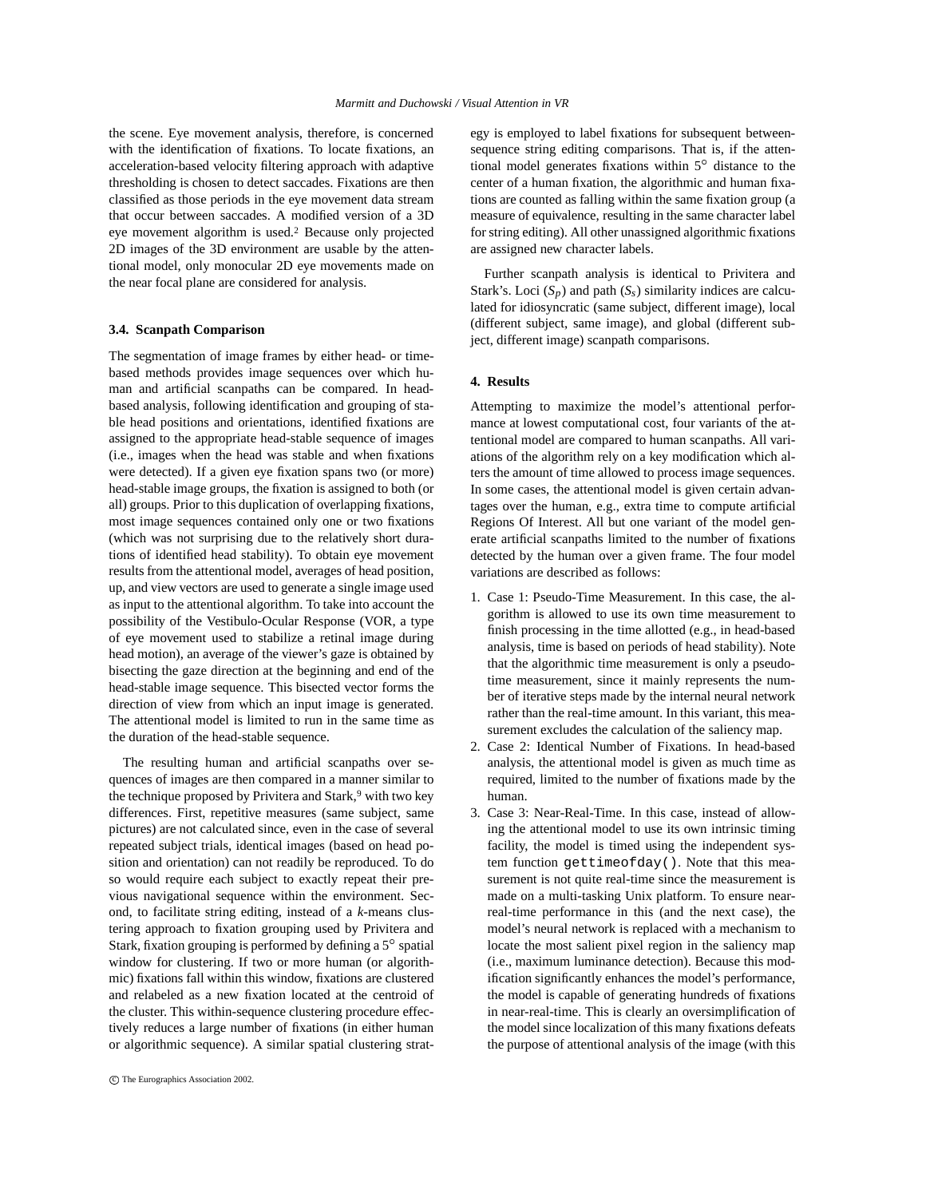the scene. Eye movement analysis, therefore, is concerned with the identification of fixations. To locate fixations, an acceleration-based velocity filtering approach with adaptive thresholding is chosen to detect saccades. Fixations are then classified as those periods in the eye movement data stream that occur between saccades. A modified version of a 3D eye movement algorithm is used.<sup>2</sup> Because only projected 2D images of the 3D environment are usable by the attentional model, only monocular 2D eye movements made on the near focal plane are considered for analysis.

## **3.4. Scanpath Comparison**

The segmentation of image frames by either head- or timebased methods provides image sequences over which human and artificial scanpaths can be compared. In headbased analysis, following identification and grouping of stable head positions and orientations, identified fixations are assigned to the appropriate head-stable sequence of images (i.e., images when the head was stable and when fixations were detected). If a given eye fixation spans two (or more) head-stable image groups, the fixation is assigned to both (or all) groups. Prior to this duplication of overlapping fixations, most image sequences contained only one or two fixations (which was not surprising due to the relatively short durations of identified head stability). To obtain eye movement results from the attentional model, averages of head position, up, and view vectors are used to generate a single image used as input to the attentional algorithm. To take into account the possibility of the Vestibulo-Ocular Response (VOR, a type of eye movement used to stabilize a retinal image during head motion), an average of the viewer's gaze is obtained by bisecting the gaze direction at the beginning and end of the head-stable image sequence. This bisected vector forms the direction of view from which an input image is generated. The attentional model is limited to run in the same time as the duration of the head-stable sequence.

The resulting human and artificial scanpaths over sequences of images are then compared in a manner similar to the technique proposed by Privitera and Stark,<sup>9</sup> with two key differences. First, repetitive measures (same subject, same pictures) are not calculated since, even in the case of several repeated subject trials, identical images (based on head position and orientation) can not readily be reproduced. To do so would require each subject to exactly repeat their previous navigational sequence within the environment. Second, to facilitate string editing, instead of a *k*-means clustering approach to fixation grouping used by Privitera and Stark, fixation grouping is performed by defining a  $5^\circ$  spatial window for clustering. If two or more human (or algorithmic) fixations fall within this window, fixations are clustered and relabeled as a new fixation located at the centroid of the cluster. This within-sequence clustering procedure effectively reduces a large number of fixations (in either human or algorithmic sequence). A similar spatial clustering strategy is employed to label fixations for subsequent betweensequence string editing comparisons. That is, if the attentional model generates fixations within  $5^\circ$  distance to the center of a human fixation, the algorithmic and human fixations are counted as falling within the same fixation group (a measure of equivalence, resulting in the same character label for string editing). All other unassigned algorithmic fixations are assigned new character labels.

Further scanpath analysis is identical to Privitera and Stark's. Loci  $(S_p)$  and path  $(S_s)$  similarity indices are calculated for idiosyncratic (same subject, different image), local (different subject, same image), and global (different subject, different image) scanpath comparisons.

# **4. Results**

Attempting to maximize the model's attentional performance at lowest computational cost, four variants of the attentional model are compared to human scanpaths. All variations of the algorithm rely on a key modification which alters the amount of time allowed to process image sequences. In some cases, the attentional model is given certain advantages over the human, e.g., extra time to compute artificial Regions Of Interest. All but one variant of the model generate artificial scanpaths limited to the number of fixations detected by the human over a given frame. The four model variations are described as follows:

- 1. Case 1: Pseudo-Time Measurement. In this case, the algorithm is allowed to use its own time measurement to finish processing in the time allotted (e.g., in head-based analysis, time is based on periods of head stability). Note that the algorithmic time measurement is only a pseudotime measurement, since it mainly represents the number of iterative steps made by the internal neural network rather than the real-time amount. In this variant, this measurement excludes the calculation of the saliency map.
- 2. Case 2: Identical Number of Fixations. In head-based analysis, the attentional model is given as much time as required, limited to the number of fixations made by the human.
- 3. Case 3: Near-Real-Time. In this case, instead of allowing the attentional model to use its own intrinsic timing facility, the model is timed using the independent system function gettimeofday(). Note that this measurement is not quite real-time since the measurement is made on a multi-tasking Unix platform. To ensure nearreal-time performance in this (and the next case), the model's neural network is replaced with a mechanism to locate the most salient pixel region in the saliency map (i.e., maximum luminance detection). Because this modification significantly enhances the model's performance, the model is capable of generating hundreds of fixations in near-real-time. This is clearly an oversimplification of the model since localization of this many fixations defeats the purpose of attentional analysis of the image (with this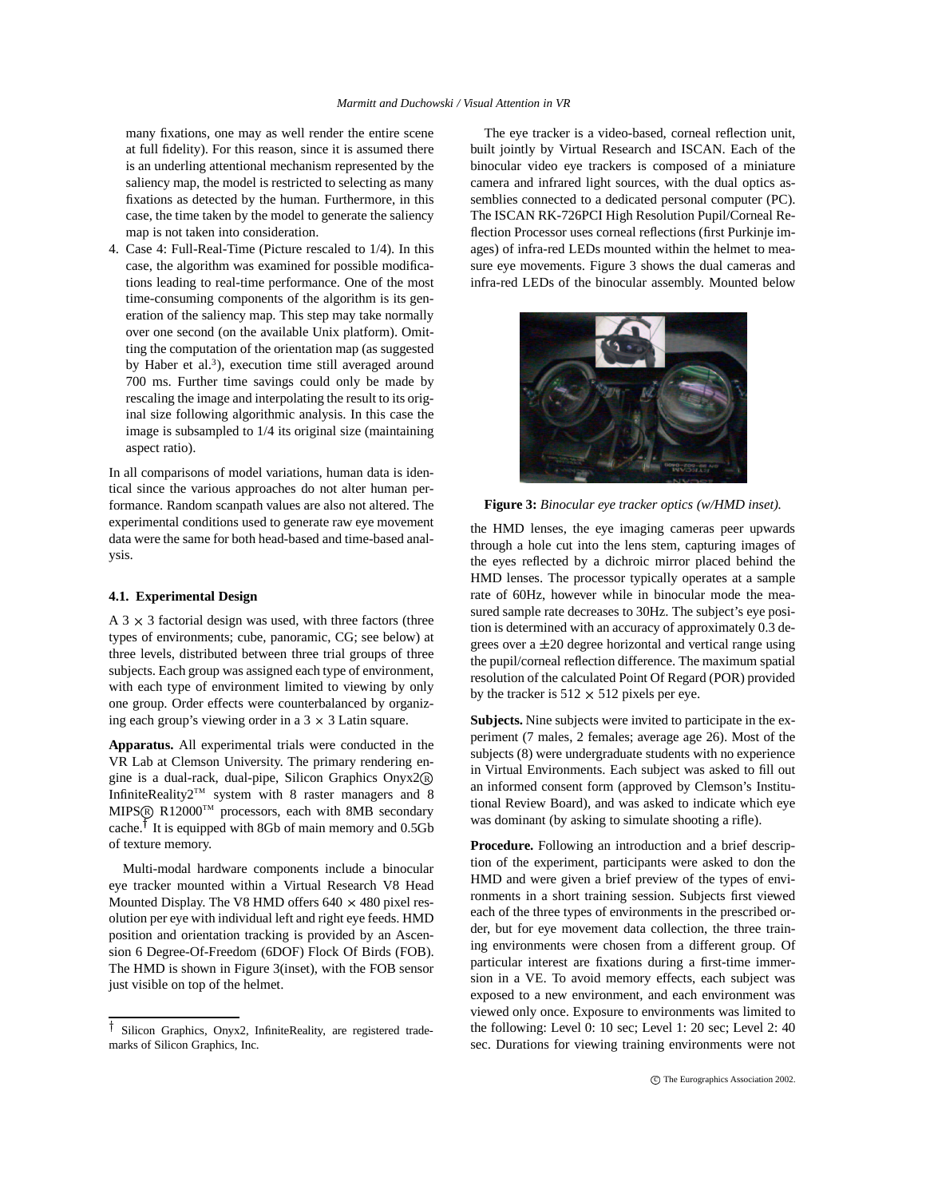many fixations, one may as well render the entire scene at full fidelity). For this reason, since it is assumed there is an underling attentional mechanism represented by the saliency map, the model is restricted to selecting as many fixations as detected by the human. Furthermore, in this case, the time taken by the model to generate the saliency map is not taken into consideration.

4. Case 4: Full-Real-Time (Picture rescaled to 1/4). In this case, the algorithm was examined for possible modifications leading to real-time performance. One of the most time-consuming components of the algorithm is its generation of the saliency map. This step may take normally over one second (on the available Unix platform). Omitting the computation of the orientation map (as suggested by Haber et al.<sup>3</sup>), execution time still averaged around 700 ms. Further time savings could only be made by rescaling the image and interpolating the result to its original size following algorithmic analysis. In this case the image is subsampled to 1/4 its original size (maintaining aspect ratio).

In all comparisons of model variations, human data is identical since the various approaches do not alter human performance. Random scanpath values are also not altered. The experimental conditions used to generate raw eye movement data were the same for both head-based and time-based analysis.

#### **4.1. Experimental Design**

A  $3 \times 3$  factorial design was used, with three factors (three types of environments; cube, panoramic, CG; see below) at three levels, distributed between three trial groups of three subjects. Each group was assigned each type of environment, with each type of environment limited to viewing by only one group. Order effects were counterbalanced by organizing each group's viewing order in a  $3 \times 3$  Latin square.

**Apparatus.** All experimental trials were conducted in the VR Lab at Clemson University. The primary rendering engine is a dual-rack, dual-pipe, Silicon Graphics Onyx2 <sup>R</sup> InfiniteReality2<sup>TM</sup> system with 8 raster managers and 8 MIPS® R12000™ processors, each with 8MB secondary cache.<sup>†</sup> It is equipped with 8Gb of main memory and 0.5Gb of texture memory.

Multi-modal hardware components include a binocular eye tracker mounted within a Virtual Research V8 Head Mounted Display. The V8 HMD offers  $640 \times 480$  pixel resolution per eye with individual left and right eye feeds. HMD position and orientation tracking is provided by an Ascension 6 Degree-Of-Freedom (6DOF) Flock Of Birds (FOB). The HMD is shown in Figure 3(inset), with the FOB sensor just visible on top of the helmet.

The eye tracker is a video-based, corneal reflection unit, built jointly by Virtual Research and ISCAN. Each of the binocular video eye trackers is composed of a miniature camera and infrared light sources, with the dual optics assemblies connected to a dedicated personal computer (PC). The ISCAN RK-726PCI High Resolution Pupil/Corneal Reflection Processor uses corneal reflections (first Purkinje images) of infra-red LEDs mounted within the helmet to measure eye movements. Figure 3 shows the dual cameras and infra-red LEDs of the binocular assembly. Mounted below



**Figure 3:** *Binocular eye tracker optics (w/HMD inset).*

the HMD lenses, the eye imaging cameras peer upwards through a hole cut into the lens stem, capturing images of the eyes reflected by a dichroic mirror placed behind the HMD lenses. The processor typically operates at a sample rate of 60Hz, however while in binocular mode the measured sample rate decreases to 30Hz. The subject's eye position is determined with an accuracy of approximately 0.3 degrees over a  $\pm 20$  degree horizontal and vertical range using the pupil/corneal reflection difference. The maximum spatial resolution of the calculated Point Of Regard (POR) provided by the tracker is  $512 \times 512$  pixels per eye.

**Subjects.** Nine subjects were invited to participate in the experiment (7 males, 2 females; average age 26). Most of the subjects (8) were undergraduate students with no experience in Virtual Environments. Each subject was asked to fill out an informed consent form (approved by Clemson's Institutional Review Board), and was asked to indicate which eye was dominant (by asking to simulate shooting a rifle).

**Procedure.** Following an introduction and a brief description of the experiment, participants were asked to don the HMD and were given a brief preview of the types of environments in a short training session. Subjects first viewed each of the three types of environments in the prescribed order, but for eye movement data collection, the three training environments were chosen from a different group. Of particular interest are fixations during a first-time immersion in a VE. To avoid memory effects, each subject was exposed to a new environment, and each environment was viewed only once. Exposure to environments was limited to the following: Level 0: 10 sec; Level 1: 20 sec; Level 2: 40 sec. Durations for viewing training environments were not

Silicon Graphics, Onyx2, InfiniteReality, are registered trademarks of Silicon Graphics, Inc.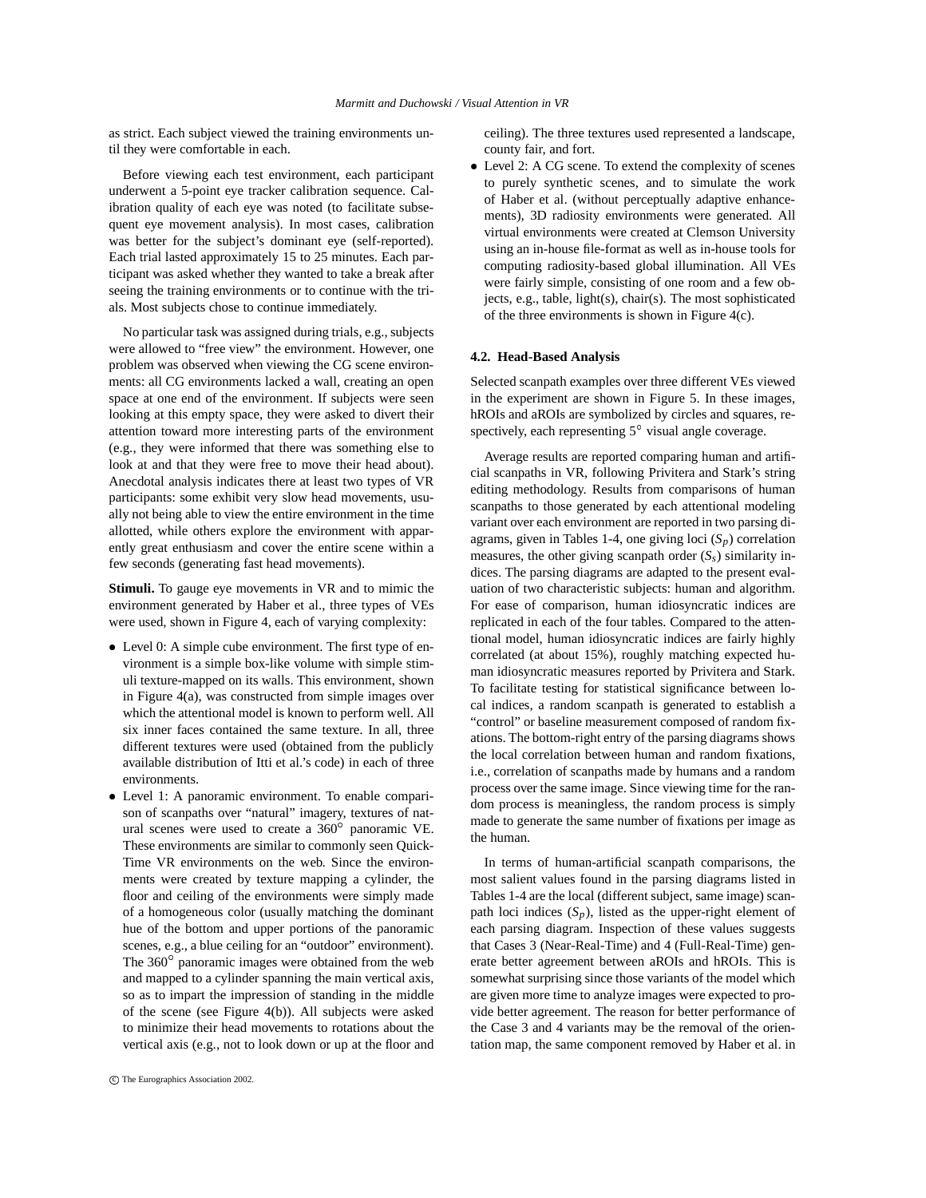as strict. Each subject viewed the training environments until they were comfortable in each.

Before viewing each test environment, each participant underwent a 5-point eye tracker calibration sequence. Calibration quality of each eye was noted (to facilitate subsequent eye movement analysis). In most cases, calibration was better for the subject's dominant eye (self-reported). Each trial lasted approximately 15 to 25 minutes. Each participant was asked whether they wanted to take a break after seeing the training environments or to continue with the trials. Most subjects chose to continue immediately.

No particular task was assigned during trials, e.g., subjects were allowed to "free view" the environment. However, one problem was observed when viewing the CG scene environments: all CG environments lacked a wall, creating an open space at one end of the environment. If subjects were seen looking at this empty space, they were asked to divert their attention toward more interesting parts of the environment (e.g., they were informed that there was something else to look at and that they were free to move their head about). Anecdotal analysis indicates there at least two types of VR participants: some exhibit very slow head movements, usually not being able to view the entire environment in the time allotted, while others explore the environment with apparently great enthusiasm and cover the entire scene within a few seconds (generating fast head movements).

**Stimuli.** To gauge eye movements in VR and to mimic the environment generated by Haber et al., three types of VEs were used, shown in Figure 4, each of varying complexity:

- Level 0: A simple cube environment. The first type of environment is a simple box-like volume with simple stimuli texture-mapped on its walls. This environment, shown in Figure 4(a), was constructed from simple images over which the attentional model is known to perform well. All six inner faces contained the same texture. In all, three different textures were used (obtained from the publicly available distribution of Itti et al.'s code) in each of three environments.
- Level 1: A panoramic environment. To enable comparison of scanpaths over "natural" imagery, textures of natural scenes were used to create a  $360^\circ$  panoramic VE. These environments are similar to commonly seen Quick-Time VR environments on the web. Since the environments were created by texture mapping a cylinder, the floor and ceiling of the environments were simply made of a homogeneous color (usually matching the dominant hue of the bottom and upper portions of the panoramic scenes, e.g., a blue ceiling for an "outdoor" environment). The  $360^\circ$  panoramic images were obtained from the web and mapped to a cylinder spanning the main vertical axis, so as to impart the impression of standing in the middle of the scene (see Figure 4(b)). All subjects were asked to minimize their head movements to rotations about the vertical axis (e.g., not to look down or up at the floor and

ceiling). The three textures used represented a landscape, county fair, and fort.

 Level 2: A CG scene. To extend the complexity of scenes to purely synthetic scenes, and to simulate the work of Haber et al. (without perceptually adaptive enhancements), 3D radiosity environments were generated. All virtual environments were created at Clemson University using an in-house file-format as well as in-house tools for computing radiosity-based global illumination. All VEs were fairly simple, consisting of one room and a few objects, e.g., table, light(s), chair(s). The most sophisticated of the three environments is shown in Figure 4(c).

# **4.2. Head-Based Analysis**

Selected scanpath examples over three different VEs viewed in the experiment are shown in Figure 5. In these images, hROIs and aROIs are symbolized by circles and squares, respectively, each representing  $5^\circ$  visual angle coverage.

Average results are reported comparing human and artificial scanpaths in VR, following Privitera and Stark's string editing methodology. Results from comparisons of human scanpaths to those generated by each attentional modeling variant over each environment are reported in two parsing diagrams, given in Tables 1-4, one giving loci  $(S_p)$  correlation measures, the other giving scanpath order  $(S<sub>s</sub>)$  similarity indices. The parsing diagrams are adapted to the present evaluation of two characteristic subjects: human and algorithm. For ease of comparison, human idiosyncratic indices are replicated in each of the four tables. Compared to the attentional model, human idiosyncratic indices are fairly highly correlated (at about 15%), roughly matching expected human idiosyncratic measures reported by Privitera and Stark. To facilitate testing for statistical significance between local indices, a random scanpath is generated to establish a "control" or baseline measurement composed of random fixations. The bottom-right entry of the parsing diagrams shows the local correlation between human and random fixations, i.e., correlation of scanpaths made by humans and a random process over the same image. Since viewing time for the random process is meaningless, the random process is simply made to generate the same number of fixations per image as the human.

In terms of human-artificial scanpath comparisons, the most salient values found in the parsing diagrams listed in Tables 1-4 are the local (different subject, same image) scanpath loci indices  $(S_p)$ , listed as the upper-right element of each parsing diagram. Inspection of these values suggests that Cases 3 (Near-Real-Time) and 4 (Full-Real-Time) generate better agreement between aROIs and hROIs. This is somewhat surprising since those variants of the model which are given more time to analyze images were expected to provide better agreement. The reason for better performance of the Case 3 and 4 variants may be the removal of the orientation map, the same component removed by Haber et al. in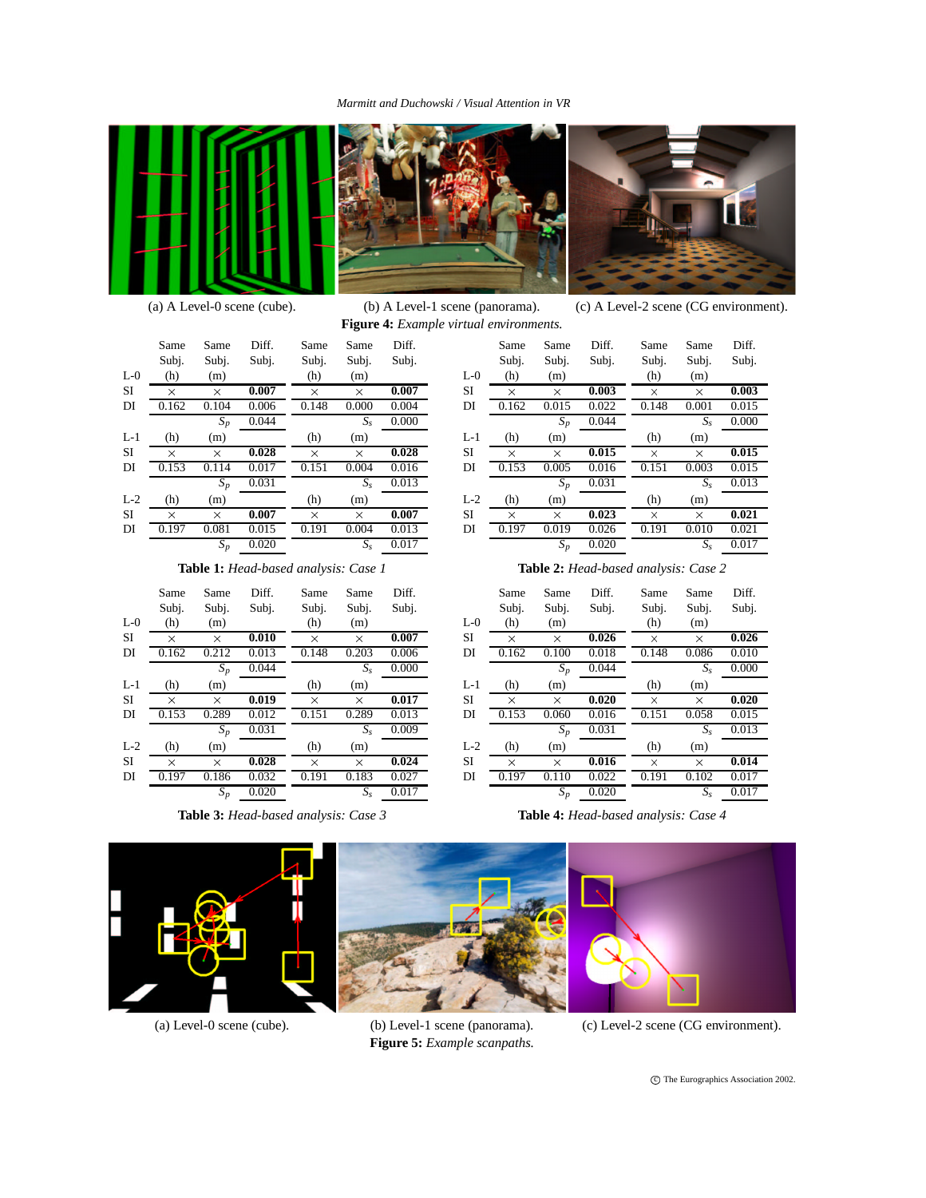# *Marmitt and Duchowski / Visual Attention in VR*





**Figure 4:** *Example virtual environments.*



(a) A Level-0 scene (cube). (b) A Level-1 scene (panorama). (c) A Level-2 scene (CG environment).

Same Same Diff.<br>Subj. Subj. Subj. Subj.

|       | Same  | Same     | Diff. | Same     | Same        | Diff. |
|-------|-------|----------|-------|----------|-------------|-------|
|       | Subj. | Subj.    | Subj. | Subj.    | Subj.       | Subj. |
| $L-0$ | (h)   | (m)      |       | (h)      | (m)         |       |
| SI    | X     | X        | 0.007 | X        | X           | 0.007 |
| DI    | 0.162 | 0.104    | 0.006 | 0.148    | 0.000       | 0.004 |
|       |       | $S_p$    | 0.044 |          | $S_{\rm s}$ | 0.000 |
| $L-1$ | (h)   | (m)      |       | (h)      | (m)         |       |
| SI    | X     | $\times$ | 0.028 | $\times$ | X           | 0.028 |
| DI    | 0.153 | 0.114    | 0.017 | 0.151    | 0.004       | 0.016 |
|       |       | $S_p$    | 0.031 |          | $S_{\rm s}$ | 0.013 |
| $L-2$ | (h)   | (m)      |       | (h)      | (m)         |       |
| SI    | X     | $\times$ | 0.007 | $\times$ | X           | 0.007 |
| DI    | 0.197 | 0.081    | 0.015 | 0.191    | 0.004       | 0.013 |
|       |       | $S_p$    | 0.020 |          | $S_{\rm s}$ | 0.017 |
|       |       |          |       |          |             |       |

L-0  $(h)$   $(m)$ SI  $\overline{X}$   $\times$  0.003<br>DI 0.162 0.015 0.022 0.162 0.015 0.022 *Sp* 0.044 (h) (m)  $\times \times 0.003$ 0.148 0.001 0.015 *Ss* 0.000 L-1 (h)  $(m)$  $SI \rightarrow \times \times \times 0.015$ DI 0.153 0.005 0.016 *Sp* 0.031 (h) (m)  $\times$   $\times$  0.015 0.151 0.003 0.015 *Ss* 0.013 L-2 (h)  $(m)$ SI  $\overline{) \times 0.023}$ <br>DI  $\overline{0.197}$   $\overline{0.019}$   $\overline{0.026}$ 0.197 0.019 0.026 *Sp* 0.020 (h) (m)  $\times$   $\times$  0.021 0.191 0.010 0.021 *Ss* 0.017

Same Same Diff.<br>Subj. Subj. Subj. Subj.

**Table 1:** *Head-based analysis: Case 1*

|           | Same<br>Subj. | Same<br>Subj. | Diff.<br>Subj. | Same<br>Subj. | Same<br>Subj. | Diff.<br>Subj. |
|-----------|---------------|---------------|----------------|---------------|---------------|----------------|
| $L-0$     | (h)           | (m)           |                | (h)           | (m)           |                |
| <b>SI</b> | X             | X             | 0.010          | X             | X             | 0.007          |
| DI        | 0.162         | 0.212         | 0.013          | 0.148         | 0.203         | 0.006          |
|           |               | $S_p$         | 0.044          |               | $S_{\rm s}$   | 0.000          |
| $L-1$     | (h)           | (m)           |                | (h)           | (m)           |                |
|           |               |               |                |               |               |                |
| SI        | $\times$      | X             | 0.019          | X             | X             | 0.017          |
| DI        | 0.153         | 0.289         | 0.012          | 0.151         | 0.289         | 0.013          |
|           |               | $S_p$         | 0.031          |               | $S_{\rm s}$   | 0.009          |
| $L-2$     | (h)           | (m)           |                | (h)           | (m)           |                |
| <b>SI</b> | X             | X             | 0.028          | X             | X             | 0.024          |
| DI        | 0.197         | 0.186         | 0.032          | 0.191         | 0.183         | 0.027          |
|           |               | $S_p$         | 0.020          |               | $S_{\rm s}$   | 0.017          |

**Table 3:** *Head-based analysis: Case 3*

**Table 2:** *Head-based analysis: Case 2*

|       | Same  | Same  | Diff. | Same     | Same        | Diff. |
|-------|-------|-------|-------|----------|-------------|-------|
|       | Subj. | Subj. | Subj. | Subj.    | Subj.       | Subj. |
| L-0   | (h)   | (m)   |       | (h)      | (m)         |       |
| SΙ    | X     | X     | 0.026 | X        | $\times$    | 0.026 |
| DI    | 0.162 | 0.100 | 0.018 | 0.148    | 0.086       | 0.010 |
|       |       | $S_p$ | 0.044 |          | $S_{s}$     | 0.000 |
| L-1   | (h)   | (m)   |       | (h)      | (m)         |       |
|       |       |       |       |          |             |       |
| SI    | X     | X     | 0.020 | X        | $\times$    | 0.020 |
| DI    | 0.153 | 0.060 | 0.016 | 0.151    | 0.058       | 0.015 |
|       |       | $S_p$ | 0.031 |          | $S_{s}$     | 0.013 |
| $L-2$ | (h)   | (m)   |       | (h)      | (m)         |       |
| SΙ    | X     | X     | 0.016 | $\times$ | X           | 0.014 |
| DI    | 0.197 | 0.110 | 0.022 | 0.191    | 0.102       | 0.017 |
|       |       | $S_p$ | 0.020 |          | $S_{\rm s}$ | 0.017 |

**Table 4:** *Head-based analysis: Case 4*





**Figure 5:** *Example scanpaths.*



(a) Level-0 scene (cube). (b) Level-1 scene (panorama). (c) Level-2 scene (CG environment).

c The Eurographics Association 2002.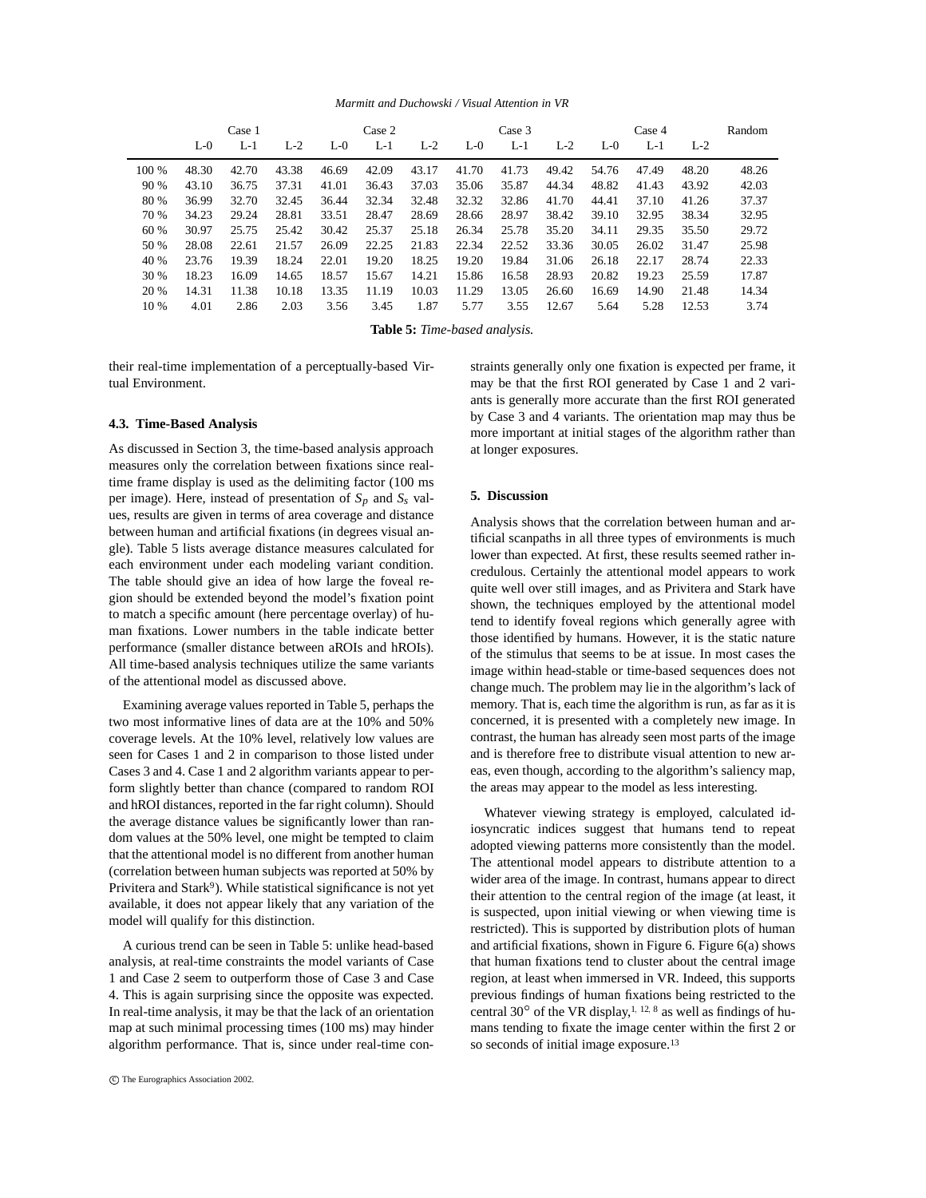*Marmitt and Duchowski / Visual Attention in VR*

|       |       | Case 1 |       |       | Case 2 |       |       | Case 3 |       |       | Case 4 |       | Random |
|-------|-------|--------|-------|-------|--------|-------|-------|--------|-------|-------|--------|-------|--------|
|       | $L-0$ | $L-1$  | $L-2$ | $L-0$ | $L-1$  | $L-2$ | $L-0$ | L-1    | $L-2$ | $L-0$ | $L-1$  | $L-2$ |        |
| 100 % | 48.30 | 42.70  | 43.38 | 46.69 | 42.09  | 43.17 | 41.70 | 41.73  | 49.42 | 54.76 | 47.49  | 48.20 | 48.26  |
| 90 %  | 43.10 | 36.75  | 37.31 | 41.01 | 36.43  | 37.03 | 35.06 | 35.87  | 44.34 | 48.82 | 41.43  | 43.92 | 42.03  |
| 80 %  | 36.99 | 32.70  | 32.45 | 36.44 | 32.34  | 32.48 | 32.32 | 32.86  | 41.70 | 44.41 | 37.10  | 41.26 | 37.37  |
| 70 %  | 34.23 | 29.24  | 28.81 | 33.51 | 28.47  | 28.69 | 28.66 | 28.97  | 38.42 | 39.10 | 32.95  | 38.34 | 32.95  |
| 60 %  | 30.97 | 25.75  | 25.42 | 30.42 | 25.37  | 25.18 | 26.34 | 25.78  | 35.20 | 34.11 | 29.35  | 35.50 | 29.72  |
| 50 %  | 28.08 | 22.61  | 21.57 | 26.09 | 22.25  | 21.83 | 22.34 | 22.52  | 33.36 | 30.05 | 26.02  | 31.47 | 25.98  |
| 40 %  | 23.76 | 19.39  | 18.24 | 22.01 | 19.20  | 18.25 | 19.20 | 19.84  | 31.06 | 26.18 | 22.17  | 28.74 | 22.33  |
| 30 %  | 18.23 | 16.09  | 14.65 | 18.57 | 15.67  | 14.21 | 15.86 | 16.58  | 28.93 | 20.82 | 19.23  | 25.59 | 17.87  |
| 20 %  | 14.31 | 11.38  | 10.18 | 13.35 | 11.19  | 10.03 | 11.29 | 13.05  | 26.60 | 16.69 | 14.90  | 21.48 | 14.34  |
| 10 %  | 4.01  | 2.86   | 2.03  | 3.56  | 3.45   | 1.87  | 5.77  | 3.55   | 12.67 | 5.64  | 5.28   | 12.53 | 3.74   |

**Table 5:** *Time-based analysis.*

their real-time implementation of a perceptually-based Virtual Environment.

# **4.3. Time-Based Analysis**

As discussed in Section 3, the time-based analysis approach measures only the correlation between fixations since realtime frame display is used as the delimiting factor (100 ms per image). Here, instead of presentation of *Sp* and *Ss* values, results are given in terms of area coverage and distance between human and artificial fixations (in degrees visual angle). Table 5 lists average distance measures calculated for each environment under each modeling variant condition. The table should give an idea of how large the foveal region should be extended beyond the model's fixation point to match a specific amount (here percentage overlay) of human fixations. Lower numbers in the table indicate better performance (smaller distance between aROIs and hROIs). All time-based analysis techniques utilize the same variants of the attentional model as discussed above.

Examining average values reported in Table 5, perhaps the two most informative lines of data are at the 10% and 50% coverage levels. At the 10% level, relatively low values are seen for Cases 1 and 2 in comparison to those listed under Cases 3 and 4. Case 1 and 2 algorithm variants appear to perform slightly better than chance (compared to random ROI and hROI distances, reported in the far right column). Should the average distance values be significantly lower than random values at the 50% level, one might be tempted to claim that the attentional model is no different from another human (correlation between human subjects was reported at 50% by Privitera and Stark<sup>9</sup>). While statistical significance is not yet available, it does not appear likely that any variation of the model will qualify for this distinction.

A curious trend can be seen in Table 5: unlike head-based analysis, at real-time constraints the model variants of Case 1 and Case 2 seem to outperform those of Case 3 and Case 4. This is again surprising since the opposite was expected. In real-time analysis, it may be that the lack of an orientation map at such minimal processing times (100 ms) may hinder algorithm performance. That is, since under real-time con-

straints generally only one fixation is expected per frame, it may be that the first ROI generated by Case 1 and 2 variants is generally more accurate than the first ROI generated by Case 3 and 4 variants. The orientation map may thus be more important at initial stages of the algorithm rather than at longer exposures.

# **5. Discussion**

Analysis shows that the correlation between human and artificial scanpaths in all three types of environments is much lower than expected. At first, these results seemed rather incredulous. Certainly the attentional model appears to work quite well over still images, and as Privitera and Stark have shown, the techniques employed by the attentional model tend to identify foveal regions which generally agree with those identified by humans. However, it is the static nature of the stimulus that seems to be at issue. In most cases the image within head-stable or time-based sequences does not change much. The problem may lie in the algorithm's lack of memory. That is, each time the algorithm is run, as far as it is concerned, it is presented with a completely new image. In contrast, the human has already seen most parts of the image and is therefore free to distribute visual attention to new areas, even though, according to the algorithm's saliency map, the areas may appear to the model as less interesting.

Whatever viewing strategy is employed, calculated idiosyncratic indices suggest that humans tend to repeat adopted viewing patterns more consistently than the model. The attentional model appears to distribute attention to a wider area of the image. In contrast, humans appear to direct their attention to the central region of the image (at least, it is suspected, upon initial viewing or when viewing time is restricted). This is supported by distribution plots of human and artificial fixations, shown in Figure 6. Figure 6(a) shows that human fixations tend to cluster about the central image region, at least when immersed in VR. Indeed, this supports previous findings of human fixations being restricted to the central 30 $^{\circ}$  of the VR display,<sup>1, 12, 8</sup> as well as findings of humans tending to fixate the image center within the first 2 or so seconds of initial image exposure.<sup>13</sup>